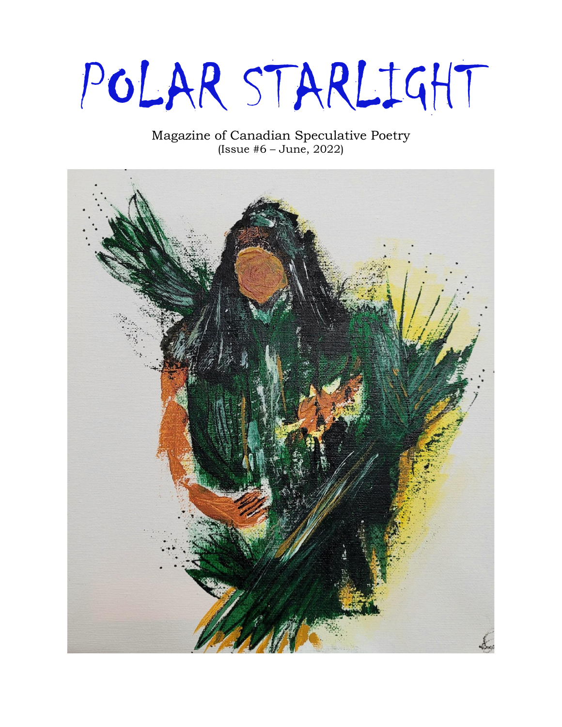# POLAR STARLIGHT

Magazine of Canadian Speculative Poetry (Issue #6 – June, 2022)

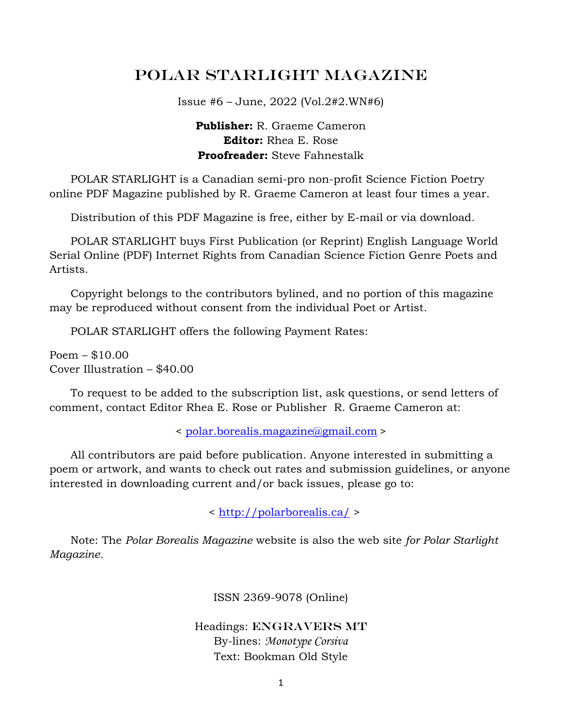## POLAR STARLIGHT Magazine

Issue #6 – June, 2022 (Vol.2#2.WN#6)

#### **Publisher:** R. Graeme Cameron **Editor:** Rhea E. Rose **Proofreader:** Steve Fahnestalk

 POLAR STARLIGHT is a Canadian semi-pro non-profit Science Fiction Poetry online PDF Magazine published by R. Graeme Cameron at least four times a year.

Distribution of this PDF Magazine is free, either by E-mail or via download.

 POLAR STARLIGHT buys First Publication (or Reprint) English Language World Serial Online (PDF) Internet Rights from Canadian Science Fiction Genre Poets and Artists.

 Copyright belongs to the contributors bylined, and no portion of this magazine may be reproduced without consent from the individual Poet or Artist.

POLAR STARLIGHT offers the following Payment Rates:

Poem – \$10.00 Cover Illustration – \$40.00

 To request to be added to the subscription list, ask questions, or send letters of comment, contact Editor Rhea E. Rose or Publisher R. Graeme Cameron at:

< [polar.borealis.magazine@gmail.com](mailto:polar.borealis.magazine@gmail.com) >

 All contributors are paid before publication. Anyone interested in submitting a poem or artwork, and wants to check out rates and submission guidelines, or anyone interested in downloading current and/or back issues, please go to:

<<http://polarborealis.ca/> >

 Note: The *Polar Borealis Magazine* website is also the web site *for Polar Starlight Magazine.*

ISSN 2369-9078 (Online)

#### Headings: ENGRAVERS MT By-lines: *Monotype Corsiva* Text: Bookman Old Style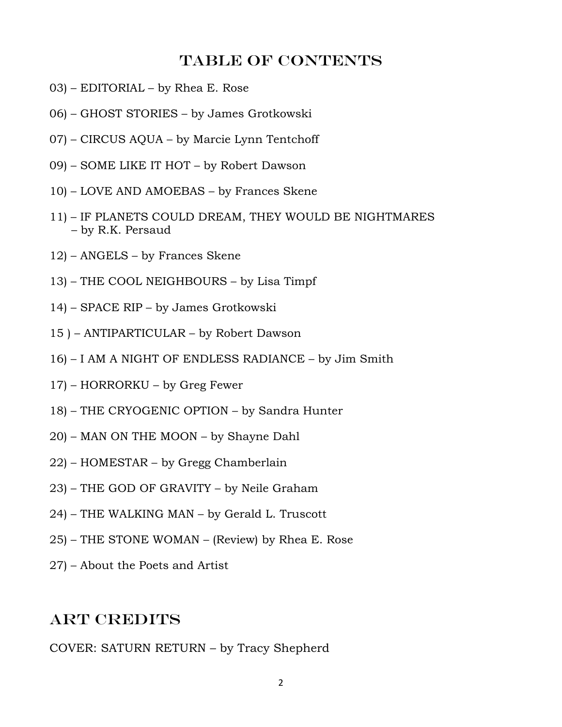#### Table of contents

- 03) EDITORIAL by Rhea E. Rose
- 06) GHOST STORIES by James Grotkowski
- 07) CIRCUS AQUA by Marcie Lynn Tentchoff
- 09) SOME LIKE IT HOT by Robert Dawson
- 10) LOVE AND AMOEBAS by Frances Skene
- 11) IF PLANETS COULD DREAM, THEY WOULD BE NIGHTMARES – by R.K. Persaud
- 12) ANGELS by Frances Skene
- 13) THE COOL NEIGHBOURS by Lisa Timpf
- 14) SPACE RIP by James Grotkowski
- 15 ) ANTIPARTICULAR by Robert Dawson
- 16) I AM A NIGHT OF ENDLESS RADIANCE by Jim Smith
- 17) HORRORKU by Greg Fewer
- 18) THE CRYOGENIC OPTION by Sandra Hunter
- 20) MAN ON THE MOON by Shayne Dahl
- 22) HOMESTAR by Gregg Chamberlain
- 23) THE GOD OF GRAVITY by Neile Graham
- 24) THE WALKING MAN by Gerald L. Truscott
- 25) THE STONE WOMAN (Review) by Rhea E. Rose
- 27) About the Poets and Artist

## **ART CREDITS**

COVER: SATURN RETURN – by Tracy Shepherd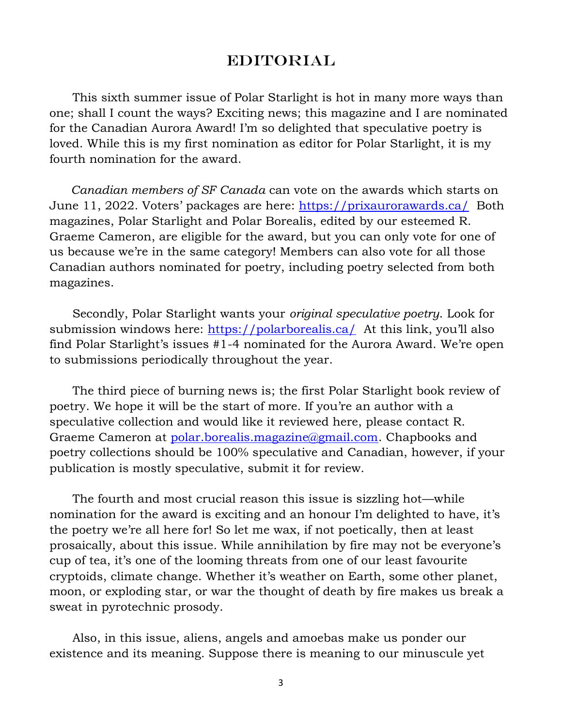#### **EDITORIAL**

 This sixth summer issue of Polar Starlight is hot in many more ways than one; shall I count the ways? Exciting news; this magazine and I are nominated for the Canadian Aurora Award! I'm so delighted that speculative poetry is loved. While this is my first nomination as editor for Polar Starlight, it is my fourth nomination for the award.

 *Canadian members of SF Canada* can vote on the awards which starts on June 11, 2022. Voters' packages are here:<https://prixaurorawards.ca/>Both magazines, Polar Starlight and Polar Borealis, edited by our esteemed R. Graeme Cameron, are eligible for the award, but you can only vote for one of us because we're in the same category! Members can also vote for all those Canadian authors nominated for poetry, including poetry selected from both magazines.

 Secondly, Polar Starlight wants your *original speculative poetry*. Look for submission windows here:<https://polarborealis.ca/>At this link, you'll also find Polar Starlight's issues #1-4 nominated for the Aurora Award. We're open to submissions periodically throughout the year.

 The third piece of burning news is; the first Polar Starlight book review of poetry. We hope it will be the start of more. If you're an author with a speculative collection and would like it reviewed here, please contact R. Graeme Cameron at [polar.borealis.magazine@gmail.com.](mailto:polar.borealis.magazine@gmail.com) Chapbooks and poetry collections should be 100% speculative and Canadian, however, if your publication is mostly speculative, submit it for review.

 The fourth and most crucial reason this issue is sizzling hot—while nomination for the award is exciting and an honour I'm delighted to have, it's the poetry we're all here for! So let me wax, if not poetically, then at least prosaically, about this issue. While annihilation by fire may not be everyone's cup of tea, it's one of the looming threats from one of our least favourite cryptoids, climate change. Whether it's weather on Earth, some other planet, moon, or exploding star, or war the thought of death by fire makes us break a sweat in pyrotechnic prosody.

 Also, in this issue, aliens, angels and amoebas make us ponder our existence and its meaning. Suppose there is meaning to our minuscule yet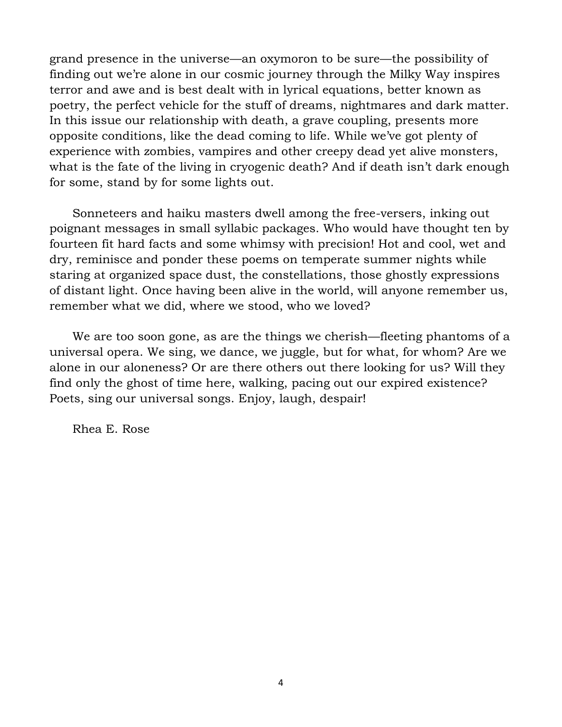grand presence in the universe—an oxymoron to be sure—the possibility of finding out we're alone in our cosmic journey through the Milky Way inspires terror and awe and is best dealt with in lyrical equations, better known as poetry, the perfect vehicle for the stuff of dreams, nightmares and dark matter. In this issue our relationship with death, a grave coupling, presents more opposite conditions, like the dead coming to life. While we've got plenty of experience with zombies, vampires and other creepy dead yet alive monsters, what is the fate of the living in cryogenic death? And if death isn't dark enough for some, stand by for some lights out.

 Sonneteers and haiku masters dwell among the free-versers, inking out poignant messages in small syllabic packages. Who would have thought ten by fourteen fit hard facts and some whimsy with precision! Hot and cool, wet and dry, reminisce and ponder these poems on temperate summer nights while staring at organized space dust, the constellations, those ghostly expressions of distant light. Once having been alive in the world, will anyone remember us, remember what we did, where we stood, who we loved?

 We are too soon gone, as are the things we cherish—fleeting phantoms of a universal opera. We sing, we dance, we juggle, but for what, for whom? Are we alone in our aloneness? Or are there others out there looking for us? Will they find only the ghost of time here, walking, pacing out our expired existence? Poets, sing our universal songs. Enjoy, laugh, despair!

Rhea E. Rose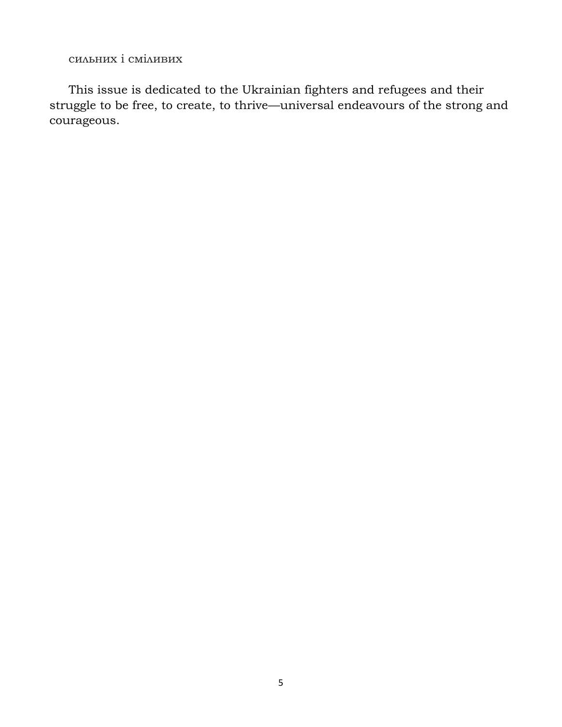сильних і сміливих

 This issue is dedicated to the Ukrainian fighters and refugees and their struggle to be free, to create, to thrive—universal endeavours of the strong and courageous.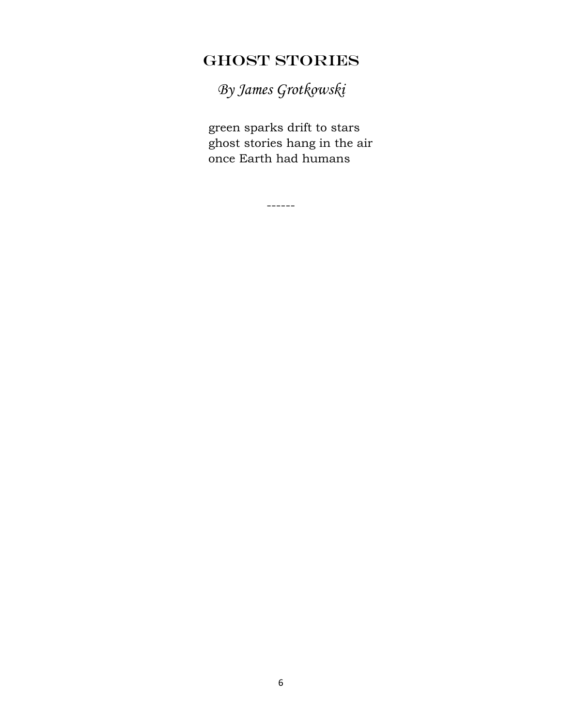# GHOST STORIES

*By James Grotkowski*

 green sparks drift to stars ghost stories hang in the air once Earth had humans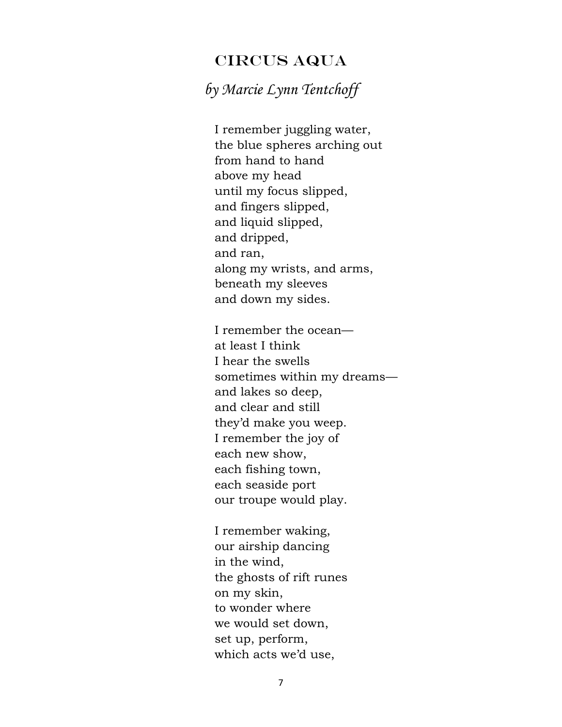## CIRCUS AQUA

## *by Marcie Lynn Tentchoff*

I remember juggling water, the blue spheres arching out from hand to hand above my head until my focus slipped, and fingers slipped, and liquid slipped, and dripped, and ran, along my wrists, and arms, beneath my sleeves and down my sides.

I remember the ocean at least I think I hear the swells sometimes within my dreams and lakes so deep, and clear and still they'd make you weep. I remember the joy of each new show, each fishing town, each seaside port our troupe would play.

I remember waking, our airship dancing in the wind, the ghosts of rift runes on my skin, to wonder where we would set down, set up, perform, which acts we'd use,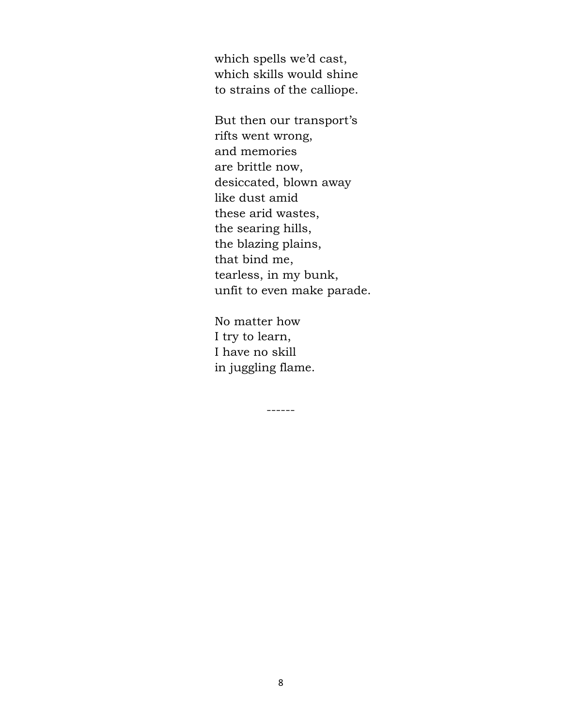which spells we'd cast, which skills would shine to strains of the calliope.

But then our transport's rifts went wrong, and memories are brittle now, desiccated, blown away like dust amid these arid wastes, the searing hills, the blazing plains, that bind me, tearless, in my bunk, unfit to even make parade.

No matter how I try to learn, I have no skill in juggling flame.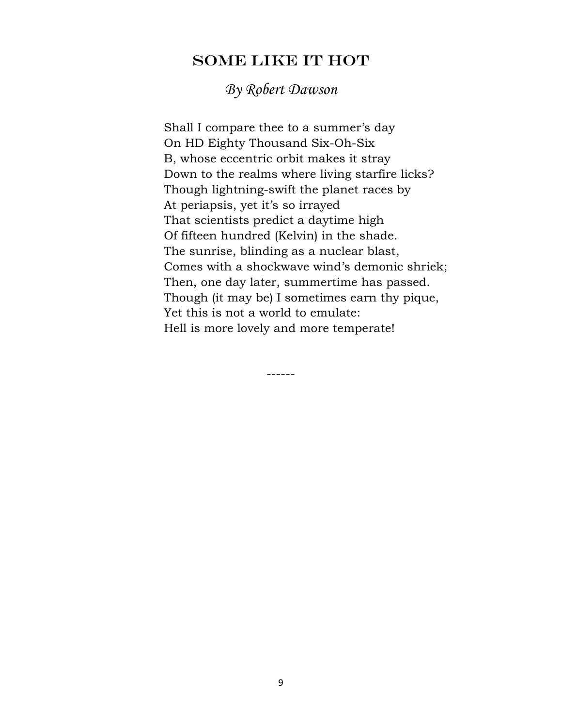### SOME LIKE IT HOT

*By Robert Dawson*

 Shall I compare thee to a summer's day On HD Eighty Thousand Six-Oh-Six B, whose eccentric orbit makes it stray Down to the realms where living starfire licks? Though lightning-swift the planet races by At periapsis, yet it's so irrayed That scientists predict a daytime high Of fifteen hundred (Kelvin) in the shade. The sunrise, blinding as a nuclear blast, Comes with a shockwave wind's demonic shriek; Then, one day later, summertime has passed. Though (it may be) I sometimes earn thy pique, Yet this is not a world to emulate: Hell is more lovely and more temperate!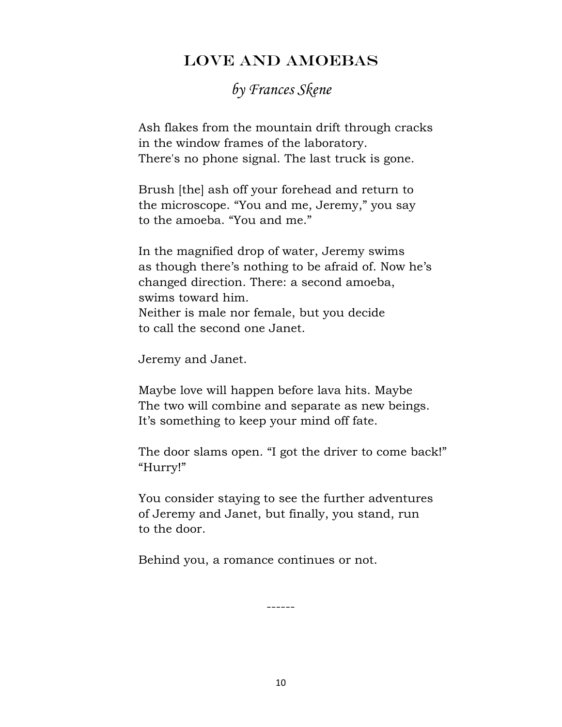## LOVE AND AMOEBAS

## *by Frances Skene*

 Ash flakes from the mountain drift through cracks in the window frames of the laboratory. There's no phone signal. The last truck is gone.

 Brush [the] ash off your forehead and return to the microscope. "You and me, Jeremy," you say to the amoeba. "You and me."

 In the magnified drop of water, Jeremy swims as though there's nothing to be afraid of. Now he's changed direction. There: a second amoeba, swims toward him. Neither is male nor female, but you decide to call the second one Janet.

Jeremy and Janet.

 Maybe love will happen before lava hits. Maybe The two will combine and separate as new beings. It's something to keep your mind off fate.

 The door slams open. "I got the driver to come back!" "Hurry!"

 You consider staying to see the further adventures of Jeremy and Janet, but finally, you stand, run to the door.

Behind you, a romance continues or not.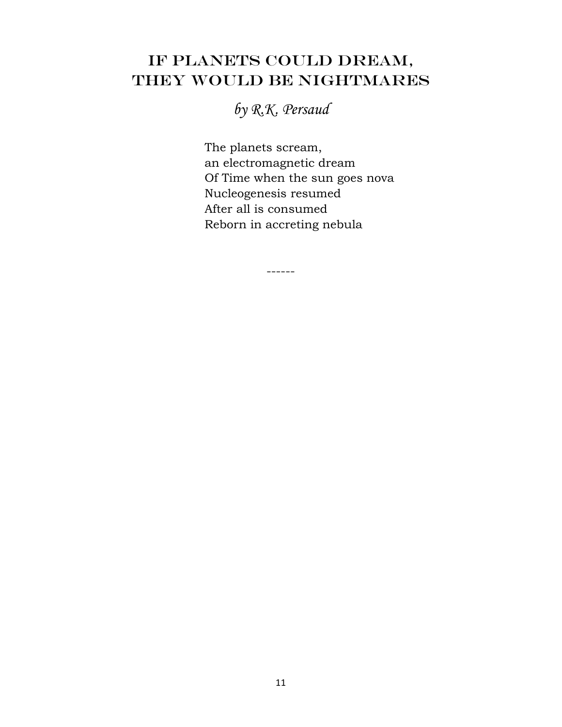# IF PLANETS COULD DREAM, THEY WOULD BE NIGHTMARES

*by R.K. Persaud*

 The planets scream, an electromagnetic dream Of Time when the sun goes nova Nucleogenesis resumed After all is consumed Reborn in accreting nebula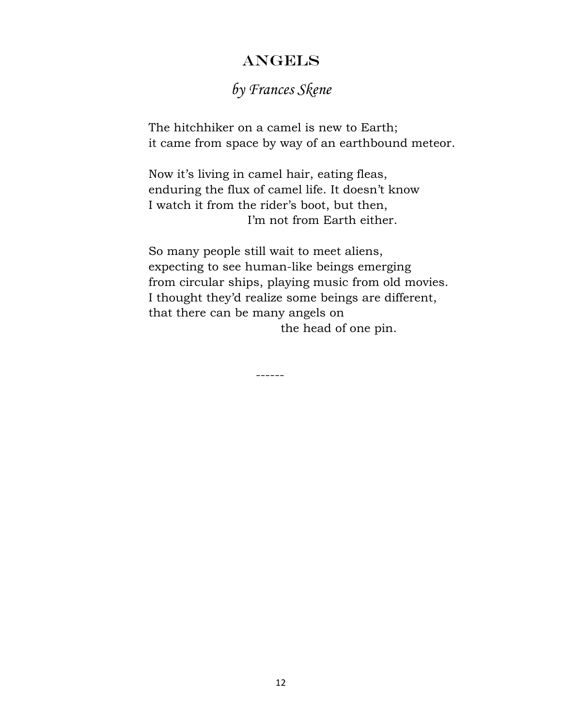## ANGELS

# *by Frances Skene*

The hitchhiker on a camel is new to Earth; it came from space by way of an earthbound meteor.

Now it's living in camel hair, eating fleas, enduring the flux of camel life. It doesn't know I watch it from the rider's boot, but then, I'm not from Earth either.

So many people still wait to meet aliens, expecting to see human-like beings emerging from circular ships, playing music from old movies. I thought they'd realize some beings are different, that there can be many angels on the head of one pin.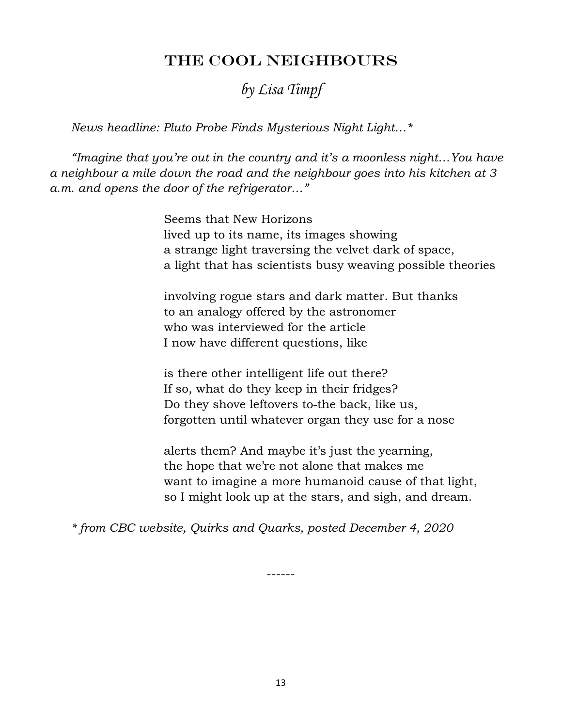## THE COOL NEIGHBOURS

## *by Lisa Timpf*

 *News headline: Pluto Probe Finds Mysterious Night Light…\**

 *"Imagine that you're out in the country and it's a moonless night…You have a neighbour a mile down the road and the neighbour goes into his kitchen at 3 a.m. and opens the door of the refrigerator…"*

> Seems that New Horizons lived up to its name, its images showing a strange light traversing the velvet dark of space, a light that has scientists busy weaving possible theories

 involving rogue stars and dark matter. But thanks to an analogy offered by the astronomer who was interviewed for the article I now have different questions, like

 is there other intelligent life out there? If so, what do they keep in their fridges? Do they shove leftovers to-the back, like us, forgotten until whatever organ they use for a nose

 alerts them? And maybe it's just the yearning, the hope that we're not alone that makes me want to imagine a more humanoid cause of that light, so I might look up at the stars, and sigh, and dream.

 *\* from CBC website, Quirks and Quarks, posted December 4, 2020*

13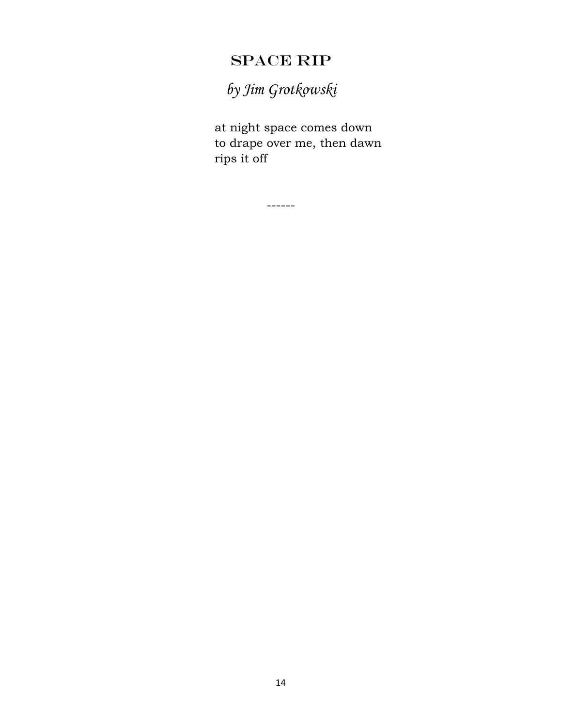# SPACE RIP

*by Jim Grotkowski*

at night space comes down to drape over me, then dawn rips it off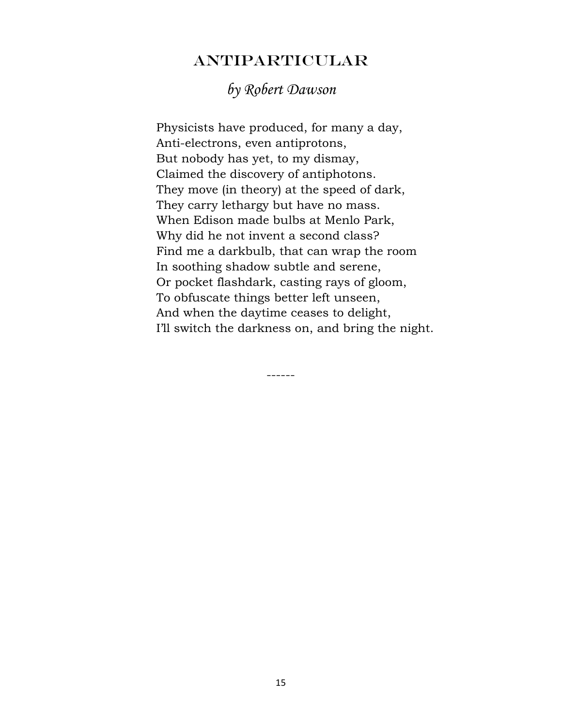## ANTIPARTICULAR

## *by Robert Dawson*

 Physicists have produced, for many a day, Anti-electrons, even antiprotons, But nobody has yet, to my dismay, Claimed the discovery of antiphotons. They move (in theory) at the speed of dark, They carry lethargy but have no mass. When Edison made bulbs at Menlo Park, Why did he not invent a second class? Find me a darkbulb, that can wrap the room In soothing shadow subtle and serene, Or pocket flashdark, casting rays of gloom, To obfuscate things better left unseen, And when the daytime ceases to delight, I'll switch the darkness on, and bring the night.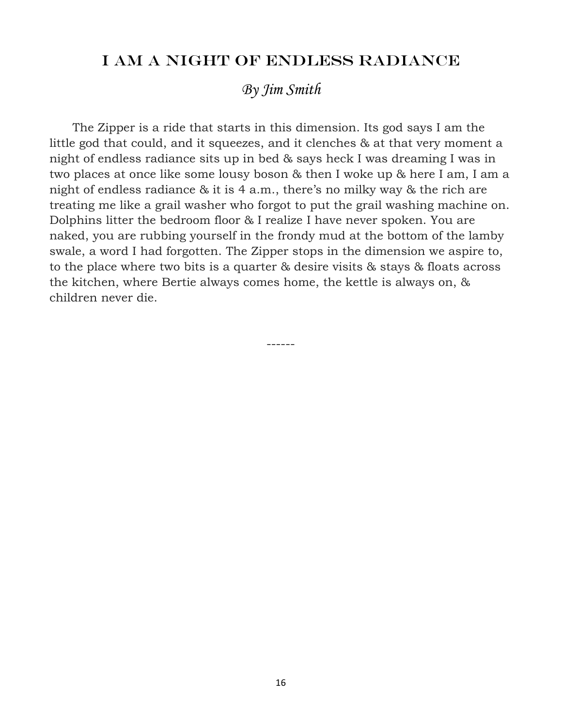#### I AM A NIGHT OF ENDLESS RADIANCE

## *By Jim Smith*

 The Zipper is a ride that starts in this dimension. Its god says I am the little god that could, and it squeezes, and it clenches & at that very moment a night of endless radiance sits up in bed & says heck I was dreaming I was in two places at once like some lousy boson & then I woke up & here I am, I am a night of endless radiance & it is 4 a.m., there's no milky way & the rich are treating me like a grail washer who forgot to put the grail washing machine on. Dolphins litter the bedroom floor & I realize I have never spoken. You are naked, you are rubbing yourself in the frondy mud at the bottom of the lamby swale, a word I had forgotten. The Zipper stops in the dimension we aspire to, to the place where two bits is a quarter & desire visits & stays & floats across the kitchen, where Bertie always comes home, the kettle is always on, & children never die.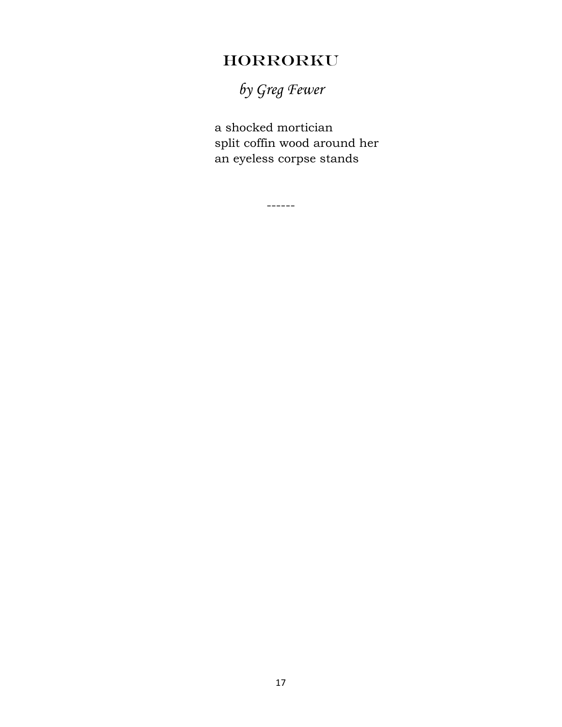# HORRORKU

*by Greg Fewer*

a shocked mortician split coffin wood around her an eyeless corpse stands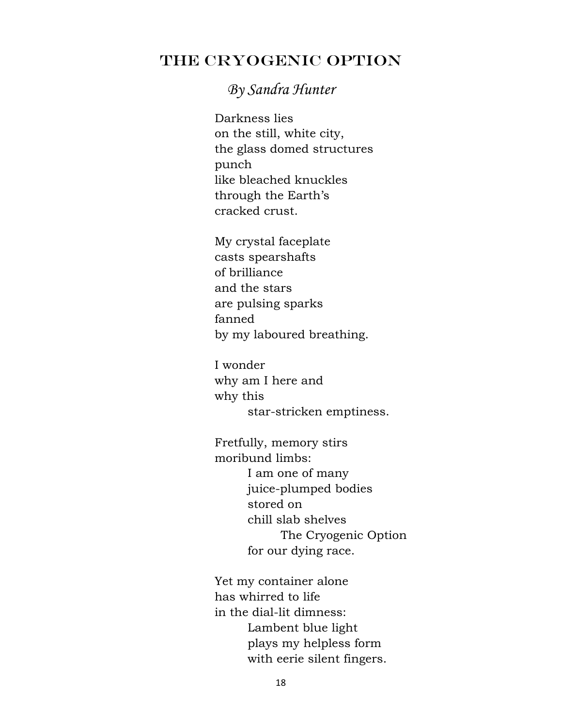## THE CRYOGENIC OPTION

## *By Sandra Hunter*

Darkness lies on the still, white city, the glass domed structures punch like bleached knuckles through the Earth's cracked crust.

My crystal faceplate casts spearshafts of brilliance and the stars are pulsing sparks fanned by my laboured breathing.

I wonder why am I here and why this star-stricken emptiness.

Fretfully, memory stirs moribund limbs: I am one of many juice-plumped bodies stored on chill slab shelves The Cryogenic Option for our dying race.

Yet my container alone has whirred to life in the dial-lit dimness: Lambent blue light plays my helpless form with eerie silent fingers.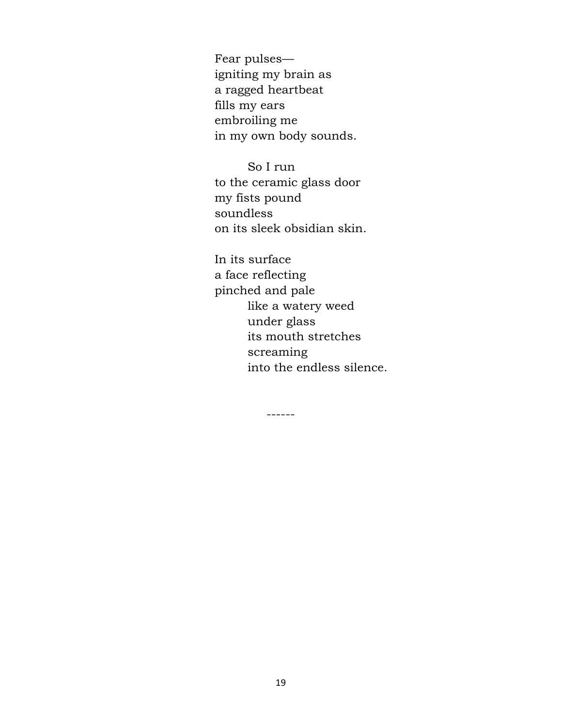Fear pulses igniting my brain as a ragged heartbeat fills my ears embroiling me in my own body sounds.

So I run to the ceramic glass door my fists pound soundless on its sleek obsidian skin.

In its surface a face reflecting pinched and pale like a watery weed under glass its mouth stretches screaming into the endless silence.

------

19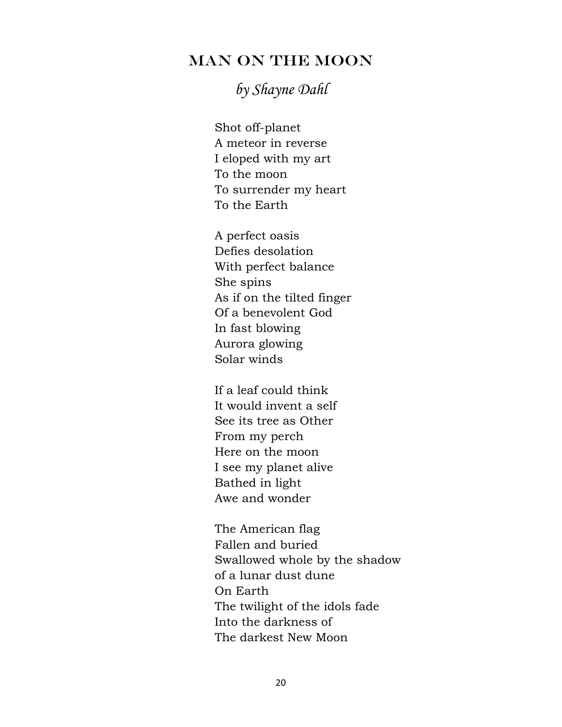## MAN ON THE MOON

# *by Shayne Dahl*

Shot off-planet A meteor in reverse I eloped with my art To the moon To surrender my heart To the Earth

A perfect oasis Defies desolation With perfect balance She spins As if on the tilted finger Of a benevolent God In fast blowing Aurora glowing Solar winds

If a leaf could think It would invent a self See its tree as Other From my perch Here on the moon I see my planet alive Bathed in light Awe and wonder

The American flag Fallen and buried Swallowed whole by the shadow of a lunar dust dune On Earth The twilight of the idols fade Into the darkness of The darkest New Moon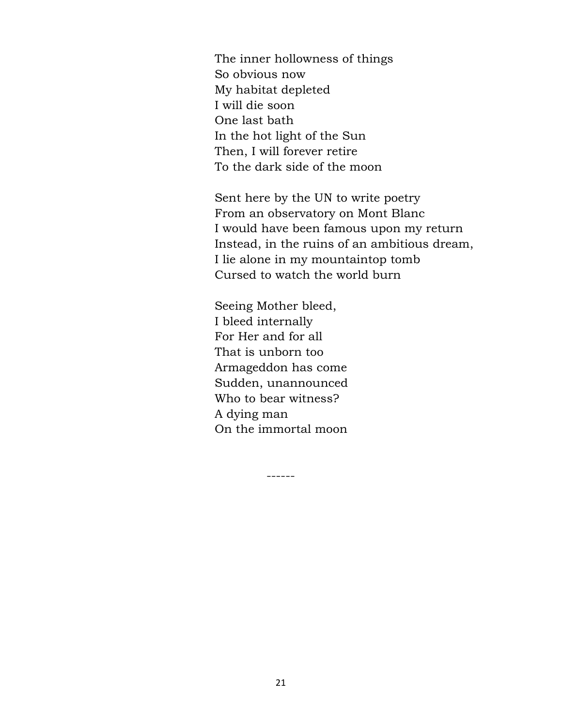The inner hollowness of things So obvious now My habitat depleted I will die soon One last bath In the hot light of the Sun Then, I will forever retire To the dark side of the moon

Sent here by the UN to write poetry From an observatory on Mont Blanc I would have been famous upon my return Instead, in the ruins of an ambitious dream, I lie alone in my mountaintop tomb Cursed to watch the world burn

Seeing Mother bleed, I bleed internally For Her and for all That is unborn too Armageddon has come Sudden, unannounced Who to bear witness? A dying man On the immortal moon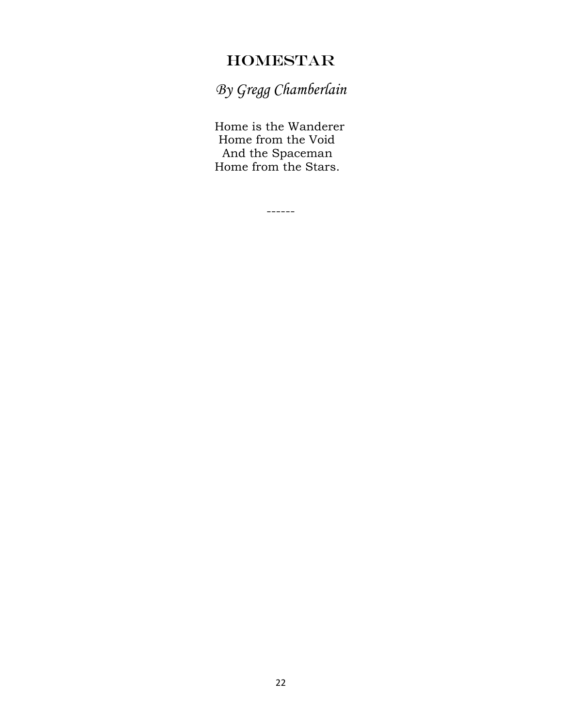## HOMESTAR

*By Gregg Chamberlain*

Home is the Wanderer Home from the Void And the Spaceman Home from the Stars.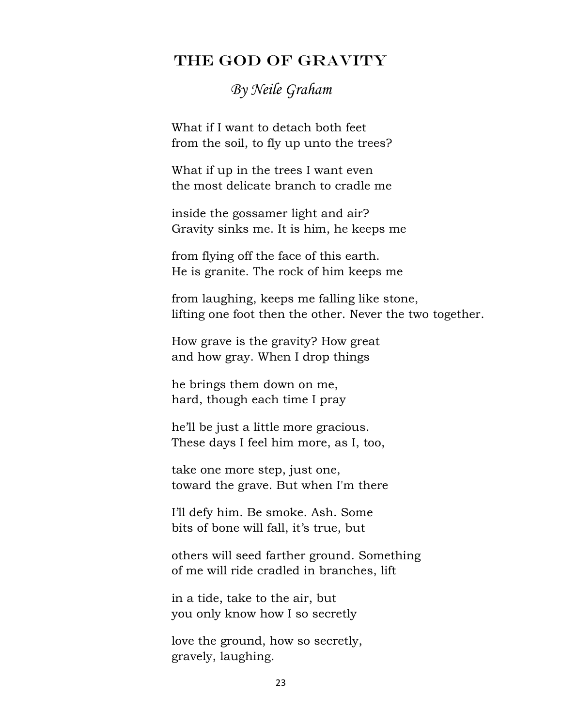#### THE GOD OF GRAVITY

# *By Neile Graham*

 What if I want to detach both feet from the soil, to fly up unto the trees?

 What if up in the trees I want even the most delicate branch to cradle me

 inside the gossamer light and air? Gravity sinks me. It is him, he keeps me

 from flying off the face of this earth. He is granite. The rock of him keeps me

 from laughing, keeps me falling like stone, lifting one foot then the other. Never the two together.

 How grave is the gravity? How great and how gray. When I drop things

 he brings them down on me, hard, though each time I pray

 he'll be just a little more gracious. These days I feel him more, as I, too,

 take one more step, just one, toward the grave. But when I'm there

 I'll defy him. Be smoke. Ash. Some bits of bone will fall, it's true, but

 others will seed farther ground. Something of me will ride cradled in branches, lift

 in a tide, take to the air, but you only know how I so secretly

 love the ground, how so secretly, gravely, laughing.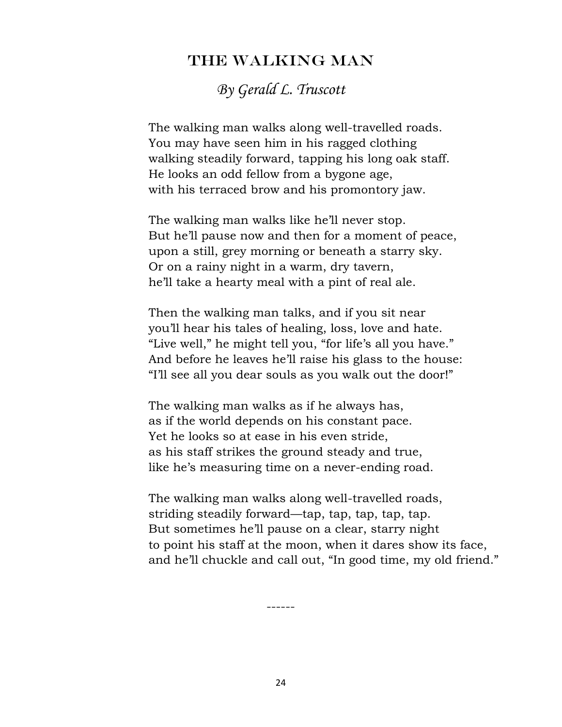#### THE WALKING MAN

*By Gerald L. Truscott*

The walking man walks along well-travelled roads. You may have seen him in his ragged clothing walking steadily forward, tapping his long oak staff. He looks an odd fellow from a bygone age, with his terraced brow and his promontory jaw.

The walking man walks like he'll never stop. But he'll pause now and then for a moment of peace, upon a still, grey morning or beneath a starry sky. Or on a rainy night in a warm, dry tavern, he'll take a hearty meal with a pint of real ale.

Then the walking man talks, and if you sit near you'll hear his tales of healing, loss, love and hate. "Live well," he might tell you, "for life's all you have." And before he leaves he'll raise his glass to the house: "I'll see all you dear souls as you walk out the door!"

The walking man walks as if he always has, as if the world depends on his constant pace. Yet he looks so at ease in his even stride, as his staff strikes the ground steady and true, like he's measuring time on a never-ending road.

The walking man walks along well-travelled roads, striding steadily forward—tap, tap, tap, tap, tap. But sometimes he'll pause on a clear, starry night to point his staff at the moon, when it dares show its face, and he'll chuckle and call out, "In good time, my old friend."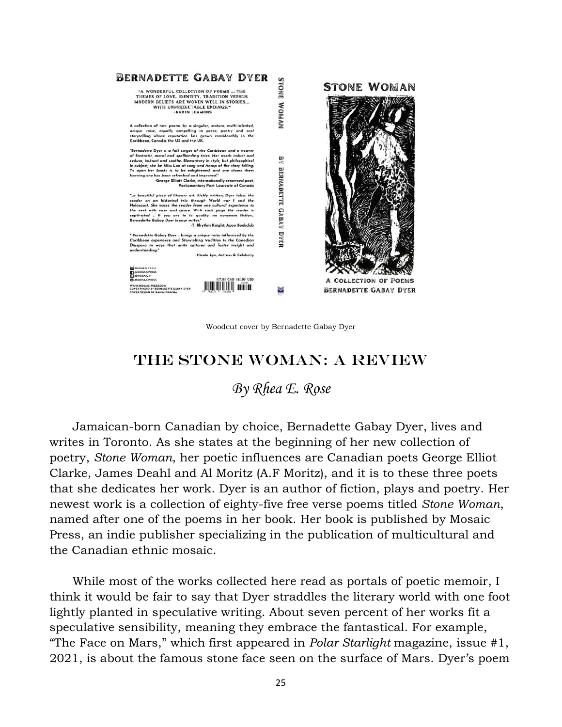

Woodcut cover by Bernadette Gabay Dyer

#### THE STONE WOMAN: A REVIEW

*By Rhea E. Rose*

 Jamaican-born Canadian by choice, Bernadette Gabay Dyer, lives and writes in Toronto. As she states at the beginning of her new collection of poetry, *Stone Woman*, her poetic influences are Canadian poets George Elliot Clarke, James Deahl and Al Moritz (A.F Moritz), and it is to these three poets that she dedicates her work. Dyer is an author of fiction, plays and poetry. Her newest work is a collection of eighty-five free verse poems titled *Stone Woman*, named after one of the poems in her book. Her book is published by Mosaic Press, an indie publisher specializing in the publication of multicultural and the Canadian ethnic mosaic.

 While most of the works collected here read as portals of poetic memoir, I think it would be fair to say that Dyer straddles the literary world with one foot lightly planted in speculative writing. About seven percent of her works fit a speculative sensibility, meaning they embrace the fantastical. For example, "The Face on Mars," which first appeared in *Polar Starlight* magazine, issue #1, 2021, is about the famous stone face seen on the surface of Mars. Dyer's poem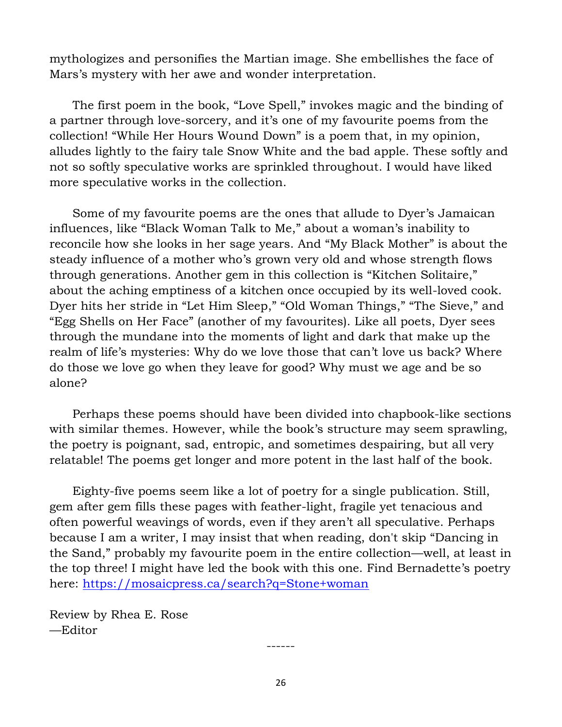mythologizes and personifies the Martian image. She embellishes the face of Mars's mystery with her awe and wonder interpretation.

 The first poem in the book, "Love Spell," invokes magic and the binding of a partner through love-sorcery, and it's one of my favourite poems from the collection! "While Her Hours Wound Down" is a poem that, in my opinion, alludes lightly to the fairy tale Snow White and the bad apple. These softly and not so softly speculative works are sprinkled throughout. I would have liked more speculative works in the collection.

 Some of my favourite poems are the ones that allude to Dyer's Jamaican influences, like "Black Woman Talk to Me," about a woman's inability to reconcile how she looks in her sage years. And "My Black Mother" is about the steady influence of a mother who's grown very old and whose strength flows through generations. Another gem in this collection is "Kitchen Solitaire," about the aching emptiness of a kitchen once occupied by its well-loved cook. Dyer hits her stride in "Let Him Sleep," "Old Woman Things," "The Sieve," and "Egg Shells on Her Face" (another of my favourites). Like all poets, Dyer sees through the mundane into the moments of light and dark that make up the realm of life's mysteries: Why do we love those that can't love us back? Where do those we love go when they leave for good? Why must we age and be so alone?

 Perhaps these poems should have been divided into chapbook-like sections with similar themes. However, while the book's structure may seem sprawling, the poetry is poignant, sad, entropic, and sometimes despairing, but all very relatable! The poems get longer and more potent in the last half of the book.

 Eighty-five poems seem like a lot of poetry for a single publication. Still, gem after gem fills these pages with feather-light, fragile yet tenacious and often powerful weavings of words, even if they aren't all speculative. Perhaps because I am a writer, I may insist that when reading, don't skip "Dancing in the Sand," probably my favourite poem in the entire collection—well, at least in the top three! I might have led the book with this one. Find Bernadette's poetry here:<https://mosaicpress.ca/search?q=Stone+woman>

Review by Rhea E. Rose —Editor

26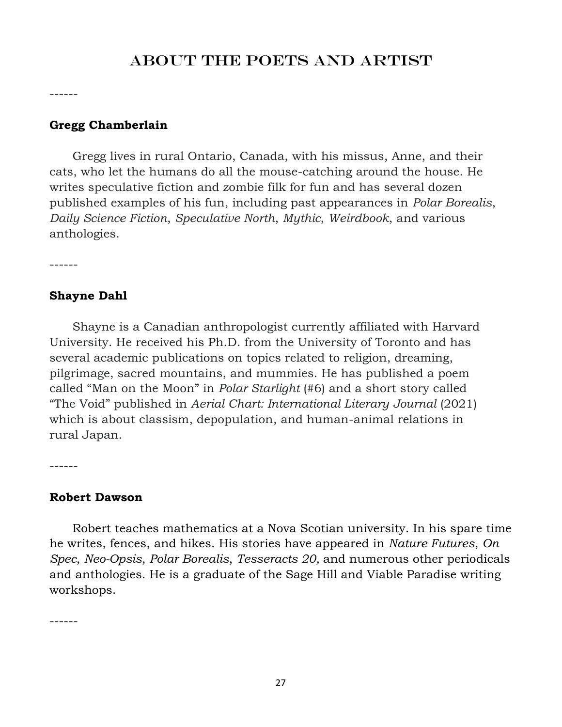## ABOUT THE POETS AND ARTIST

------

#### **Gregg Chamberlain**

 Gregg lives in rural Ontario, Canada, with his missus, Anne, and their cats, who let the humans do all the mouse-catching around the house. He writes speculative fiction and zombie filk for fun and has several dozen published examples of his fun, including past appearances in *Polar Borealis*, *Daily Science Fiction*, *Speculative North*, *Mythic*, *Weirdbook*, and various anthologies.

------

#### **Shayne Dahl**

 Shayne is a Canadian anthropologist currently affiliated with Harvard University. He received his Ph.D. from the University of Toronto and has several academic publications on topics related to religion, dreaming, pilgrimage, sacred mountains, and mummies. He has published a poem called "Man on the Moon" in *Polar Starlight* (#6) and a short story called "The Void" published in *Aerial Chart: International Literary Journal* (2021) which is about classism, depopulation, and human-animal relations in rural Japan.

------

#### **Robert Dawson**

 Robert teaches mathematics at a Nova Scotian university. In his spare time he writes, fences, and hikes. His stories have appeared in *Nature Futures*, *On Spec*, *Neo-Opsis*, *Polar Borealis*, *Tesseracts 20,* and numerous other periodicals and anthologies. He is a graduate of the Sage Hill and Viable Paradise writing workshops.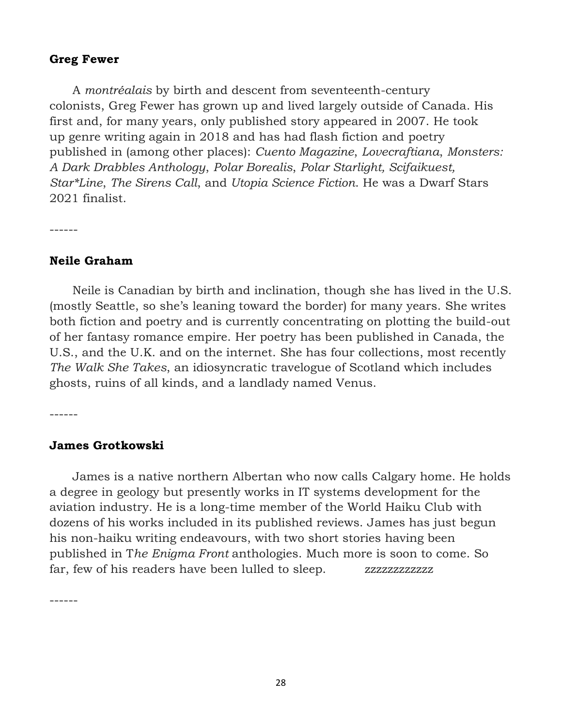#### **Greg Fewer**

 A *montréalais* by birth and descent from seventeenth-century colonists, Greg Fewer has grown up and lived largely outside of Canada. His first and, for many years, only published story appeared in 2007. He took up genre writing again in 2018 and has had flash fiction and poetry published in (among other places): *Cuento Magazine*, *Lovecraftiana*, *Monsters: A Dark Drabbles Anthology*, *Polar Borealis*, *Polar Starlight, Scifaikuest, Star\*Line*, *The Sirens Call*, and *Utopia Science Fiction*. He was a Dwarf Stars 2021 finalist.

------

#### **Neile Graham**

 Neile is Canadian by birth and inclination, though she has lived in the U.S. (mostly Seattle, so she's leaning toward the border) for many years. She writes both fiction and poetry and is currently concentrating on plotting the build-out of her fantasy romance empire. Her poetry has been published in Canada, the U.S., and the U.K. and on the internet. She has four collections, most recently *The Walk She Takes*, an idiosyncratic travelogue of Scotland which includes ghosts, ruins of all kinds, and a landlady named Venus.

------

#### **James Grotkowski**

 James is a native northern Albertan who now calls Calgary home. He holds a degree in geology but presently works in IT systems development for the aviation industry. He is a long-time member of the World Haiku Club with dozens of his works included in its published reviews. James has just begun his non-haiku writing endeavours, with two short stories having been published in T*he Enigma Front* anthologies. Much more is soon to come. So far, few of his readers have been lulled to sleep. zzzzzzzzzzzzzz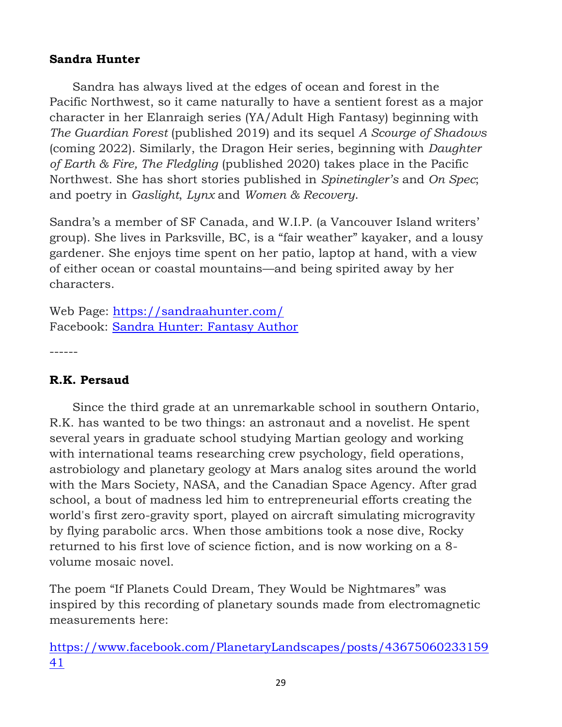#### **Sandra Hunter**

 Sandra has always lived at the edges of ocean and forest in the Pacific Northwest, so it came naturally to have a sentient forest as a major character in her Elanraigh series (YA/Adult High Fantasy) beginning with *The Guardian Forest* (published 2019) and its sequel *A Scourge of Shadows* (coming 2022). Similarly, the Dragon Heir series, beginning with *Daughter of Earth & Fire, The Fledgling* (published 2020) takes place in the Pacific Northwest. She has short stories published in *Spinetingler's* and *On Spec*; and poetry in *Gaslight*, *Lynx* and *Women & Recovery*.

Sandra's a member of SF Canada, and W.I.P. (a Vancouver Island writers' group). She lives in Parksville, BC, is a "fair weather" kayaker, and a lousy gardener. She enjoys time spent on her patio, laptop at hand, with a view of either ocean or coastal mountains—and being spirited away by her characters.

Web Page:<https://sandraahunter.com/> Facebook: [Sandra Hunter: Fantasy Author](https://www.facebook.com/Sandra-A-Hunter-Fantasy-Author-343904075638238/)

------

#### **R.K. Persaud**

 Since the third grade at an unremarkable school in southern Ontario, R.K. has wanted to be two things: an astronaut and a novelist. He spent several years in graduate school studying Martian geology and working with international teams researching crew psychology, field operations, astrobiology and planetary geology at Mars analog sites around the world with the Mars Society, NASA, and the Canadian Space Agency. After grad school, a bout of madness led him to entrepreneurial efforts creating the world's first zero-gravity sport, played on aircraft simulating microgravity by flying parabolic arcs. When those ambitions took a nose dive, Rocky returned to his first love of science fiction, and is now working on a 8 volume mosaic novel.

The poem "If Planets Could Dream, They Would be Nightmares" was inspired by this recording of planetary sounds made from electromagnetic measurements here:

[https://www.facebook.com/PlanetaryLandscapes/posts/43675060233159](https://www.facebook.com/PlanetaryLandscapes/posts/4367506023315941) [41](https://www.facebook.com/PlanetaryLandscapes/posts/4367506023315941)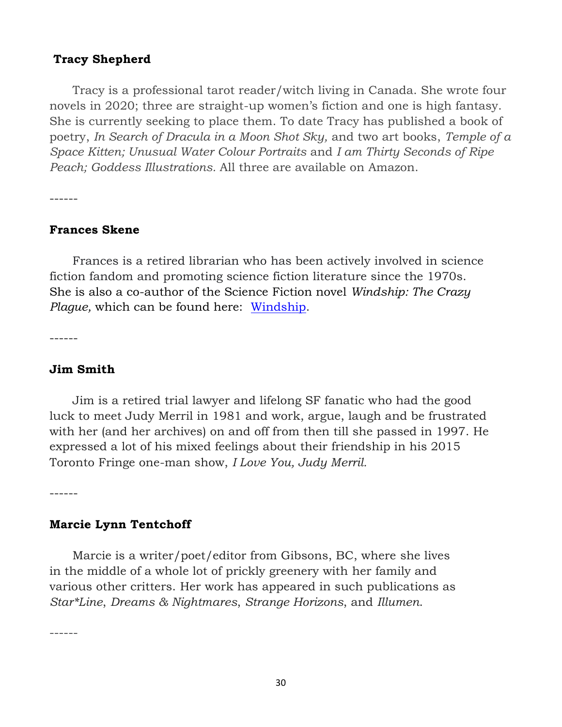#### **Tracy Shepherd**

 Tracy is a professional tarot reader/witch living in Canada. She wrote four novels in 2020; three are straight-up women's fiction and one is high fantasy. She is currently seeking to place them. To date Tracy has published a book of poetry, *In Search of Dracula in a Moon Shot Sky,* and two art books, *Temple of a Space Kitten; Unusual Water Colour Portraits* and *I am Thirty Seconds of Ripe Peach; Goddess Illustrations.* All three are available on Amazon.

------

#### **Frances Skene**

 Frances is a retired librarian who has been actively involved in science fiction fandom and promoting science fiction literature since the 1970s. She is also a co-author of the Science Fiction novel *Windship: The Crazy Plague,* which can be found here: [Windship.](https://www.amazon.ca/Windship-Crazy-Plague-Lisa-Smedman-ebook/dp/B07HLWKC9Z/ref=sr_1_1?keywords=Windship%3A+The+Crazy+Plague&qid=1587435455&s=books&sr=1-1)

------

#### **Jim Smith**

 Jim is a retired trial lawyer and lifelong SF fanatic who had the good luck to meet Judy Merril in 1981 and work, argue, laugh and be frustrated with her (and her archives) on and off from then till she passed in 1997. He expressed a lot of his mixed feelings about their friendship in his 2015 Toronto Fringe one-man show, *I Love You, Judy Merril.*

------

#### **Marcie Lynn Tentchoff**

 Marcie is a writer/poet/editor from Gibsons, BC, where she lives in the middle of a whole lot of prickly greenery with her family and various other critters. Her work has appeared in such publications as *Star\*Line*, *Dreams & Nightmares*, *Strange Horizons*, and *Illumen*.